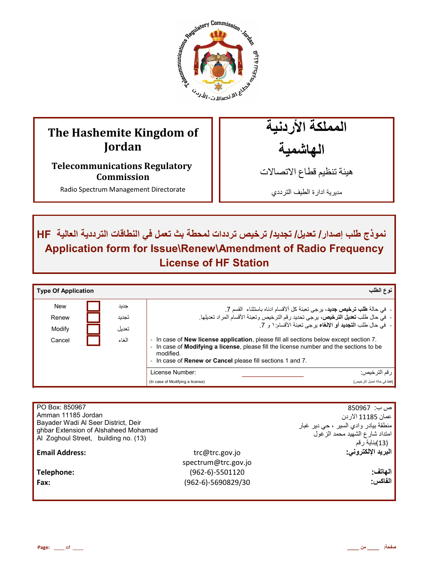

# **The Hashemite Kingdom of Jordan**

**Telecommunications Regulatory Commission** 

Radio Spectrum Management Directorate

المملكة الأردنية الـهاشمية

هيئة تنظيم قطاع الاتصـالات

مديرية ادارة الطيف الترددي

ـ نموذج طلب إصدار / تعديل/ تجديد/ ترخيص ترددات لمحطة بث تع*مل في* النطاقات الترددية العالية HF | **Application form for Issue\Renew\Amendment of Radio Frequency License of HF Station**

| <b>Type Of Application</b> |       | نوع الطلب                                                                                                                                                                                                                                                                                                                                         |
|----------------------------|-------|---------------------------------------------------------------------------------------------------------------------------------------------------------------------------------------------------------------------------------------------------------------------------------------------------------------------------------------------------|
| <b>New</b>                 | جديد  | -  في حالة <b>طلب ترخيص جديد</b> ، برجي تعبئة كل ألأقسام ادناه باستثناء  القسم 7.                                                                                                                                                                                                                                                                 |
| Renew                      | تجديد | - في حال طلب <b>تعديل الترخيص،</b> يرجى تحديد رقم الترخيص وتعبئة الأقسام المراد تعديلها.                                                                                                                                                                                                                                                          |
| Modify                     | تعديل | -   في حال طلب ا <b>لتجديد</b> أو الإ <b>لغ</b> اء بر جي تعبئة الأقسام: ١ و   7.                                                                                                                                                                                                                                                                  |
| Cancel                     | الغاء | In case of New license application, please fill all sections below except section 7.<br>$\overline{\phantom{a}}$<br>In case of Modifying a license, please fill the license number and the sections to be<br>$\overline{\phantom{a}}$<br>modified.<br>In case of <b>Renew or Cancel</b> please fill sections 1 and 7.<br>$\overline{\phantom{a}}$ |
|                            |       | License Number:<br>رقم الترخيص:                                                                                                                                                                                                                                                                                                                   |
|                            |       | (فقط في حالة تحديل التر خيص)<br>(In case of Modifying a license)                                                                                                                                                                                                                                                                                  |

|                     | ص ب:  850967                         |
|---------------------|--------------------------------------|
|                     | عمان 11185 الار دن                   |
|                     | منطقة بيادر وادي السير ، حي دير غبار |
|                     | امتداد شارع الشهيد محمد الزغول       |
|                     | (13)بناية رقم                        |
| trc@trc.gov.jo      | البريد الإلكتروني:                   |
| spectrum@trc.gov.jo |                                      |
| $(962-6)-5501120$   | الهاتف:                              |
| (962-6)-5690829/30  | الفاكس:                              |
|                     |                                      |
|                     |                                      |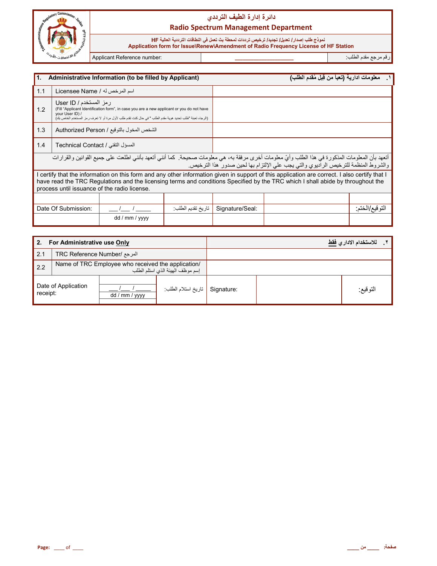

# دائرة إدارة الطيف الترد*دي* **Radio Spectrum Management Department**

#### نموذج طلب إصدار / تعديل/ تجديد/ ترخيص ترددات لمحطة بث تع*م*ل في النطاقات الترددية العالية HF

 **Application form for Issue\Renew\Amendment of Radio Frequency License of HF Station**

رم رf &دم اط\*ب: **\_\_\_\_\_\_\_\_\_\_\_\_\_\_\_\_\_\_\_\_\_\_** :number Reference Applicant

İ

| <b>11.</b><br>Administrative Information (to be filled by Applicant) |                                                                                                                                                                                                                                                                                                                                  |                |                   |                 | معلومات ادارية (تعبأ من قِبل مُقدم الطلب) |                 |
|----------------------------------------------------------------------|----------------------------------------------------------------------------------------------------------------------------------------------------------------------------------------------------------------------------------------------------------------------------------------------------------------------------------|----------------|-------------------|-----------------|-------------------------------------------|-----------------|
| 1.1                                                                  | اسم المرخص له / Licensee Name                                                                                                                                                                                                                                                                                                    |                |                   |                 |                                           |                 |
| 1.2                                                                  | رمز المستخدم / User ID<br>(Fill "Applicant Identification form", in case you are a new applicant or you do not have<br>your User ID) /<br>(الرجاء تعبئة "طلب تحديد هوية مقدم الطلب " في حال كنت تقدم طلب لأول مرة أو لا تعرف رمز المستخدم الخاص بك)                                                                              |                |                   |                 |                                           |                 |
| 1.3                                                                  | الشخص المخول بالتوقيع / Authorized Person                                                                                                                                                                                                                                                                                        |                |                   |                 |                                           |                 |
| 1.4                                                                  | المسؤل التقني / Technical Contact                                                                                                                                                                                                                                                                                                |                |                   |                 |                                           |                 |
|                                                                      | أتعهد بأن المعلومات المذكورة في هذا الطلب وأيّ معلومات أخرى مرفقة به، هي معلومات صحيحة. كما أنني أتعهد بأنني اطلعت على جميع القوانين والقرارات<br>والشروط المنظمة للترخيص الراديوي والتي يجب على الإلتزام بها لحين صدور هذا الترخيص.                                                                                             |                |                   |                 |                                           |                 |
|                                                                      | I certify that the information on this form and any other information given in support of this application are correct. I also certify that I<br>have read the TRC Regulations and the licensing terms and conditions Specified by the TRC which I shall abide by throughout the<br>process until issuance of the radio license. |                |                   |                 |                                           |                 |
|                                                                      |                                                                                                                                                                                                                                                                                                                                  |                |                   |                 |                                           |                 |
|                                                                      | Date Of Submission:                                                                                                                                                                                                                                                                                                              |                | تاريخ تقديم الطلب | Signature/Seal: |                                           | النو قيع/الختم: |
|                                                                      |                                                                                                                                                                                                                                                                                                                                  | dd / mm / yyyy |                   |                 |                                           |                 |

| For Administrative use Only<br>2. |                                                                                        |                |                     |            | للاستخدام الاداري <u>فقط</u> |
|-----------------------------------|----------------------------------------------------------------------------------------|----------------|---------------------|------------|------------------------------|
| 2.1                               | المرجع /TRC Reference Number                                                           |                |                     |            |                              |
| 2.2                               | Name of TRC Employee who received the application/<br>إسم موظف الهيئة الذي استلم الطلب |                |                     |            |                              |
| Date of Application<br>receipt:   |                                                                                        | dd / mm / yyyy | تاريخ استلام الطلب: | Signature: | التوقيع:                     |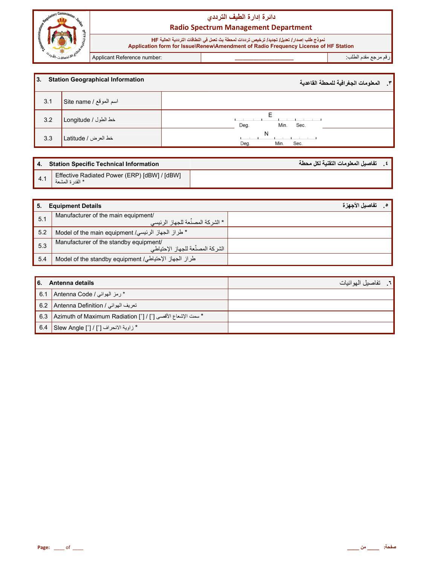

# دائرة إدارة الطيف الترددي **Radio Spectrum Management Department**

نعوذج طلب إصدار/ تعيل/ تجديد/ ترخيص ترددات لمحطة بث تعمل في النطاقات الترددية العالية HF<br>Application form for Issue\Renew\Amendment of Radio Frequency License of HF Station

Applicant Reference number:

رقم مرجع مقدم الطلب<sup>.</sup>

| l3. | <b>Station Geographical Information</b> | ٣_ المعلومات الجغرافية للمحطة القاعدية |
|-----|-----------------------------------------|----------------------------------------|
| 3.1 | اسم الموقع / Site name                  |                                        |
| 3.2 | خط الطول / Longitude                    | F<br>Min.<br>Deg.<br>Sec.              |
| 3.3 | خط العرض / Latitude                     | N<br>Deg.<br>Min.<br>Sec.              |

|     | 4. Station Specific Technical Information                        | تفاصيل المعلومات التقنية لكل محطة |  |
|-----|------------------------------------------------------------------|-----------------------------------|--|
| 4.1 | Effective Radiated Power (ERP) [dBW] / [dBW]<br>* القدر ة المشعة |                                   |  |

| 5.  | <b>Equipment Details</b>                                                     | _ _ تفاصيل الأجهز ة |
|-----|------------------------------------------------------------------------------|---------------------|
| 5.1 | Manufacturer of the main equipment/<br>, * الشر كة المصنِّعة للجهاز الرئيسي  |                     |
| 5.2 | * طراز الجهاز الرئيسي/ Model of the main equipment                           |                     |
| 5.3 | Manufacturer of the standby equipment/<br>الشر كة المصنِّعة للجهاز الإحتياطي |                     |
| 5.4 | طراز الجهاز الإحتياطي/ Model of the standby equipment                        |                     |

| I 6.<br>Antenna details |                                                                   | <mark>. المسل</mark> الموائيات |
|-------------------------|-------------------------------------------------------------------|--------------------------------|
| 16.1                    | * رمز الهوائي / Antenna Code                                      |                                |
| 6.2                     | تعريف الهوائي / Antenna Definition                                |                                |
| 6.3                     | " سعت الإشعاع الأقصى [°] / [°] Azimuth of Maximum Radiation [°] / |                                |
| 6.4                     | Slew Angle [°] / [°]   Slew Angle                                 |                                |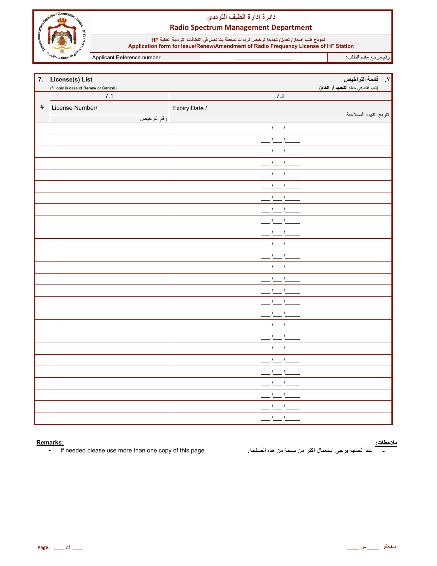

# دائرة إدارة الطيف الترددي **Radio Spectrum Management Department**

نموذج طلب إصدار/ تعليل/ تجديد/ ترخيص ترددات لمحطة بث تعمل في النطاقات الترددية العالية HF<br>Application form for Issue\Renew\Amendment of Radio Frequency License of HF Station

Applicant Reference number:

رقم مرجع مقدم الطلب<del>.</del>

|      | 7. License(s) List                     |               | ً ٧.     قائمة التراخيص             |
|------|----------------------------------------|---------------|-------------------------------------|
|      | (fill only in case of Renew or Cancel) |               | (تعبأ فقط في حالة التجديد أو الغاء) |
|      | 7.1                                    | 7.2           |                                     |
| $\#$ | License Number/                        | Expiry Date / |                                     |
|      | رقم الترخيص                            |               | تاريخ انتهاء الصلاحية               |
|      |                                        | $1 \quad 1$   |                                     |
|      |                                        |               |                                     |
|      |                                        |               |                                     |
|      |                                        |               |                                     |
|      |                                        |               |                                     |
|      |                                        |               |                                     |
|      |                                        |               |                                     |
|      |                                        |               |                                     |
|      |                                        |               |                                     |
|      |                                        |               |                                     |
|      |                                        |               |                                     |
|      |                                        |               |                                     |
|      |                                        |               |                                     |
|      |                                        |               |                                     |
|      |                                        |               |                                     |
|      |                                        |               |                                     |
|      |                                        |               |                                     |
|      |                                        |               |                                     |
|      |                                        |               |                                     |
|      |                                        |               |                                     |
|      |                                        |               |                                     |
|      |                                        |               |                                     |
|      |                                        |               |                                     |
|      |                                        |               |                                     |
|      |                                        |               |                                     |
|      |                                        |               |                                     |

#### Remarks:

If needed please use more than one copy of this page.  $\pm$  .

<mark>ملاحظات:</mark><br>\_\_\_\_\_\_ عند الحاجة يرجى استعمال اكثر من نسخة من هذه الصفحة<sub>.</sub>